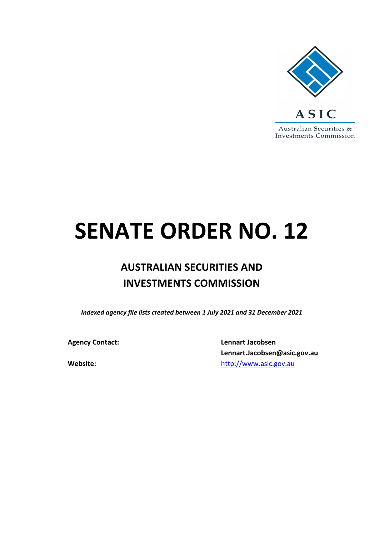

## **SENATE ORDER NO. 12**

## **AUSTRALIAN SECURITIES AND INVESTMENTS COMMISSION**

*Indexed agency file lists created between 1 July 2021 and 31 December 2021*

**Agency Contact: Lennart Jacobsen Lennart.Jacobsen@asic.gov.au Website:** [http://www.asic.gov.au](http://www.asic.gov.au/)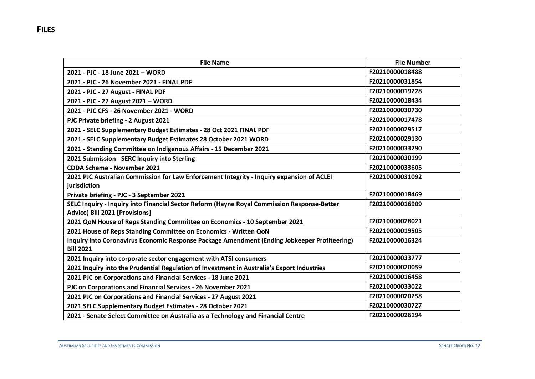| <b>File Name</b>                                                                             | <b>File Number</b> |
|----------------------------------------------------------------------------------------------|--------------------|
| 2021 - PJC - 18 June 2021 - WORD                                                             | F20210000018488    |
| 2021 - PJC - 26 November 2021 - FINAL PDF                                                    | F20210000031854    |
| 2021 - PJC - 27 August - FINAL PDF                                                           | F20210000019228    |
| 2021 - PJC - 27 August 2021 - WORD                                                           | F20210000018434    |
| 2021 - PJC CFS - 26 November 2021 - WORD                                                     | F20210000030730    |
| PJC Private briefing - 2 August 2021                                                         | F20210000017478    |
| 2021 - SELC Supplementary Budget Estimates - 28 Oct 2021 FINAL PDF                           | F20210000029517    |
| 2021 - SELC Supplementary Budget Estimates 28 October 2021 WORD                              | F20210000029130    |
| 2021 - Standing Committee on Indigenous Affairs - 15 December 2021                           | F20210000033290    |
| 2021 Submission - SERC Inquiry into Sterling                                                 | F20210000030199    |
| <b>CDDA Scheme - November 2021</b>                                                           | F20210000033605    |
| 2021 PJC Australian Commission for Law Enforcement Integrity - Inquiry expansion of ACLEI    | F20210000031092    |
| jurisdiction                                                                                 |                    |
| Private briefing - PJC - 3 September 2021                                                    | F20210000018469    |
| SELC Inquiry - Inquiry into Financial Sector Reform (Hayne Royal Commission Response-Better  | F20210000016909    |
| Advice) Bill 2021 [Provisions]                                                               |                    |
| 2021 QoN House of Reps Standing Committee on Economics - 10 September 2021                   | F20210000028021    |
| 2021 House of Reps Standing Committee on Economics - Written QoN                             | F20210000019505    |
| Inquiry into Coronavirus Economic Response Package Amendment (Ending Jobkeeper Profiteering) | F20210000016324    |
| <b>Bill 2021</b>                                                                             |                    |
| 2021 Inquiry into corporate sector engagement with ATSI consumers                            | F20210000033777    |
| 2021 Inquiry into the Prudential Regulation of Investment in Australia's Export Industries   | F20210000020059    |
| 2021 PJC on Corporations and Financial Services - 18 June 2021                               | F20210000016458    |
| PJC on Corporations and Financial Services - 26 November 2021                                | F20210000033022    |
| 2021 PJC on Corporations and Financial Services - 27 August 2021                             | F20210000020258    |
| 2021 SELC Supplementary Budget Estimates - 28 October 2021                                   | F20210000030727    |
| 2021 - Senate Select Committee on Australia as a Technology and Financial Centre             | F20210000026194    |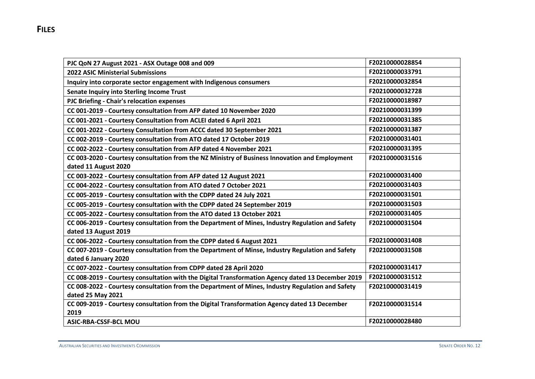| PJC QoN 27 August 2021 - ASX Outage 008 and 009                                                      | F20210000028854 |
|------------------------------------------------------------------------------------------------------|-----------------|
| <b>2022 ASIC Ministerial Submissions</b>                                                             | F20210000033791 |
| Inquiry into corporate sector engagement with Indigenous consumers                                   | F20210000032854 |
| Senate Inquiry into Sterling Income Trust                                                            | F20210000032728 |
| PJC Briefing - Chair's relocation expenses                                                           | F20210000018987 |
| CC 001-2019 - Courtesy consultation from AFP dated 10 November 2020                                  | F20210000031399 |
| CC 001-2021 - Courtesy Consultation from ACLEI dated 6 April 2021                                    | F20210000031385 |
| CC 001-2022 - Courtesy Consultation from ACCC dated 30 September 2021                                | F20210000031387 |
| CC 002-2019 - Courtesy consultation from ATO dated 17 October 2019                                   | F20210000031401 |
| CC 002-2022 - Courtesy consultation from AFP dated 4 November 2021                                   | F20210000031395 |
| CC 003-2020 - Courtesy consultation from the NZ Ministry of Business Innovation and Employment       | F20210000031516 |
| dated 11 August 2020                                                                                 |                 |
| CC 003-2022 - Courtesy consultation from AFP dated 12 August 2021                                    | F20210000031400 |
| CC 004-2022 - Courtesy consultation from ATO dated 7 October 2021                                    | F20210000031403 |
| CC 005-2019 - Courtesy consultation with the CDPP dated 24 July 2021                                 | F20210000031501 |
| CC 005-2019 - Courtesy consultation with the CDPP dated 24 September 2019                            | F20210000031503 |
| CC 005-2022 - Courtesy consultation from the ATO dated 13 October 2021                               | F20210000031405 |
| CC 006-2019 - Courtesy consultation from the Department of Mines, Industry Regulation and Safety     | F20210000031504 |
| dated 13 August 2019                                                                                 |                 |
| CC 006-2022 - Courtesy consultation from the CDPP dated 6 August 2021                                | F20210000031408 |
| CC 007-2019 - Courtesy consultation from the Department of Minse, Industry Regulation and Safety     | F20210000031508 |
| dated 6 January 2020                                                                                 |                 |
| CC 007-2022 - Courtesy consultation from CDPP dated 28 April 2020                                    | F20210000031417 |
| CC 008-2019 - Courtesy consultation with the Digital Transformation Agency dated 13 December 2019    | F20210000031512 |
| CC 008-2022 - Courtesy consultation from the Department of Mines, Industry Regulation and Safety     | F20210000031419 |
| dated 25 May 2021                                                                                    |                 |
| CC 009-2019 - Courtesy consultation from the Digital Transformation Agency dated 13 December<br>2019 | F20210000031514 |
| <b>ASIC-RBA-CSSF-BCL MOU</b>                                                                         | F20210000028480 |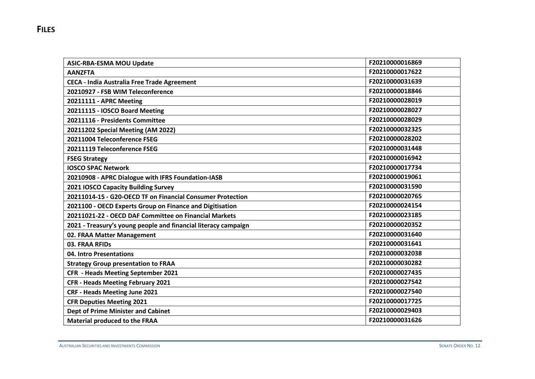| <b>ASIC-RBA-ESMA MOU Update</b>                                | F20210000016869 |
|----------------------------------------------------------------|-----------------|
| <b>AANZFTA</b>                                                 | F20210000017622 |
| <b>CECA - India Australia Free Trade Agreement</b>             | F20210000031639 |
| 20210927 - FSB WIM Teleconference                              | F20210000018846 |
| 20211111 - APRC Meeting                                        | F20210000028019 |
| 20211115 - IOSCO Board Meeting                                 | F20210000028027 |
| 20211116 - Presidents Committee                                | F20210000028029 |
| 20211202 Special Meeting (AM 2022)                             | F20210000032325 |
| 20211004 Teleconference FSEG                                   | F20210000028202 |
| 20211119 Teleconference FSEG                                   | F20210000031448 |
| <b>FSEG Strategy</b>                                           | F20210000016942 |
| <b>IOSCO SPAC Network</b>                                      | F20210000017734 |
| 20210908 - APRC Dialogue with IFRS Foundation-IASB             | F20210000019061 |
| 2021 IOSCO Capacity Building Survey                            | F20210000031590 |
| 20211014-15 - G20-OECD TF on Financial Consumer Protection     | F20210000020765 |
| 2021100 - OECD Experts Group on Finance and Digitisation       | F20210000024154 |
| 20211021-22 - OECD DAF Committee on Financial Markets          | F20210000023185 |
| 2021 - Treasury's young people and financial literacy campaign | F20210000020352 |
| 02. FRAA Matter Management                                     | F20210000031640 |
| 03. FRAA RFIDs                                                 | F20210000031641 |
| 04. Intro Presentations                                        | F20210000032038 |
| <b>Strategy Group presentation to FRAA</b>                     | F20210000030282 |
| <b>CFR - Heads Meeting September 2021</b>                      | F20210000027435 |
| <b>CFR - Heads Meeting February 2021</b>                       | F20210000027542 |
| <b>CRF - Heads Meeting June 2021</b>                           | F20210000027540 |
| <b>CFR Deputies Meeting 2021</b>                               | F20210000017725 |
| <b>Dept of Prime Minister and Cabinet</b>                      | F20210000029403 |
| <b>Material produced to the FRAA</b>                           | F20210000031626 |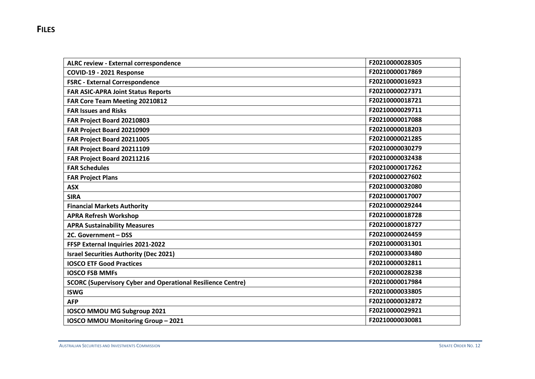| <b>ALRC review - External correspondence</b>                       | F20210000028305 |
|--------------------------------------------------------------------|-----------------|
| COVID-19 - 2021 Response                                           | F20210000017869 |
| <b>FSRC - External Correspondence</b>                              | F20210000016923 |
| <b>FAR ASIC-APRA Joint Status Reports</b>                          | F20210000027371 |
| FAR Core Team Meeting 20210812                                     | F20210000018721 |
| <b>FAR Issues and Risks</b>                                        | F20210000029711 |
| FAR Project Board 20210803                                         | F20210000017088 |
| FAR Project Board 20210909                                         | F20210000018203 |
| FAR Project Board 20211005                                         | F20210000021285 |
| FAR Project Board 20211109                                         | F20210000030279 |
| FAR Project Board 20211216                                         | F20210000032438 |
| <b>FAR Schedules</b>                                               | F20210000017262 |
| <b>FAR Project Plans</b>                                           | F20210000027602 |
| <b>ASX</b>                                                         | F20210000032080 |
| <b>SIRA</b>                                                        | F20210000017007 |
| <b>Financial Markets Authority</b>                                 | F20210000029244 |
| <b>APRA Refresh Workshop</b>                                       | F20210000018728 |
| <b>APRA Sustainability Measures</b>                                | F20210000018727 |
| 2C. Government - DSS                                               | F20210000024459 |
| FFSP External Inquiries 2021-2022                                  | F20210000031301 |
| <b>Israel Securities Authority (Dec 2021)</b>                      | F20210000033480 |
| <b>IOSCO ETF Good Practices</b>                                    | F20210000032811 |
| <b>IOSCO FSB MMFs</b>                                              | F20210000028238 |
| <b>SCORC (Supervisory Cyber and Operational Resilience Centre)</b> | F20210000017984 |
| <b>ISWG</b>                                                        | F20210000033805 |
| <b>AFP</b>                                                         | F20210000032872 |
| IOSCO MMOU MG Subgroup 2021                                        | F20210000029921 |
| <b>IOSCO MMOU Monitoring Group - 2021</b>                          | F20210000030081 |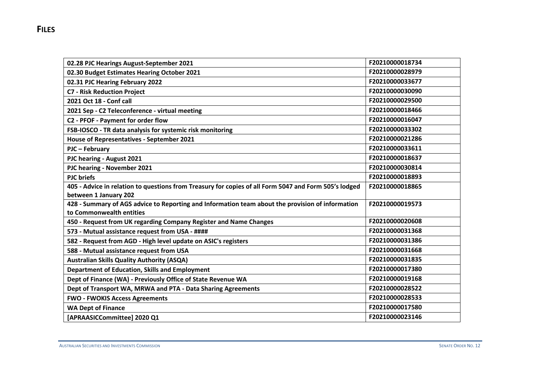| 02.28 PJC Hearings August-September 2021                                                              | F20210000018734 |
|-------------------------------------------------------------------------------------------------------|-----------------|
| 02.30 Budget Estimates Hearing October 2021                                                           | F20210000028979 |
| 02.31 PJC Hearing February 2022                                                                       | F20210000033677 |
| <b>C7 - Risk Reduction Project</b>                                                                    | F20210000030090 |
| 2021 Oct 18 - Conf call                                                                               | F20210000029500 |
| 2021 Sep - C2 Teleconference - virtual meeting                                                        | F20210000018466 |
| C2 - PFOF - Payment for order flow                                                                    | F20210000016047 |
| FSB-IOSCO - TR data analysis for systemic risk monitoring                                             | F20210000033302 |
| House of Representatives - September 2021                                                             | F20210000021286 |
| PJC - February                                                                                        | F20210000033611 |
| PJC hearing - August 2021                                                                             | F20210000018637 |
| PJC hearing - November 2021                                                                           | F20210000030814 |
| <b>PJC</b> briefs                                                                                     | F20210000018893 |
| 405 - Advice in relation to questions from Treasury for copies of all Form 5047 and Form 505's lodged | F20210000018865 |
| between 1 January 202                                                                                 |                 |
| 428 - Summary of AGS advice to Reporting and Information team about the provision of information      | F20210000019573 |
| to Commonwealth entities                                                                              |                 |
| 450 - Request from UK regarding Company Register and Name Changes                                     | F20210000020608 |
| 573 - Mutual assistance request from USA - ####                                                       | F20210000031368 |
| 582 - Request from AGD - High level update on ASIC's registers                                        | F20210000031386 |
| 588 - Mutual assistance request from USA                                                              | F20210000031668 |
| <b>Australian Skills Quality Authority (ASQA)</b>                                                     | F20210000031835 |
| <b>Department of Education, Skills and Employment</b>                                                 | F20210000017380 |
| Dept of Finance (WA) - Previously Office of State Revenue WA                                          | F20210000019168 |
| Dept of Transport WA, MRWA and PTA - Data Sharing Agreements                                          | F20210000028522 |
| <b>FWO - FWOKIS Access Agreements</b>                                                                 | F20210000028533 |
| <b>WA Dept of Finance</b>                                                                             | F20210000017580 |
| [APRAASICCommittee] 2020 Q1                                                                           | F20210000023146 |